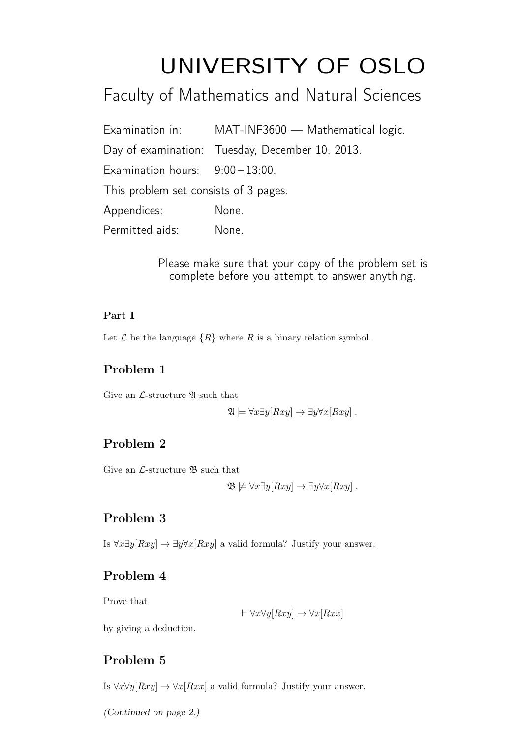# UNIVERSITY OF OSLO

# Faculty of Mathematics and Natural Sciences

|                                       | Examination in: MAT-INF3600 - Mathematical logic. |
|---------------------------------------|---------------------------------------------------|
|                                       | Day of examination: Tuesday, December 10, 2013.   |
| Examination hours: $9:00-13:00$ .     |                                                   |
| This problem set consists of 3 pages. |                                                   |
| Appendices:                           | None.                                             |
| Permitted aids:                       | None.                                             |

Please make sure that your copy of the problem set is complete before you attempt to answer anything.

#### Part I

Let  $\mathcal L$  be the language  $\{R\}$  where R is a binary relation symbol.

# Problem 1

Give an  $\mathcal{L}\text{-structure } \mathfrak{A}$  such that

$$
\mathfrak{A} \models \forall x \exists y [Rxy] \rightarrow \exists y \forall x [Rxy].
$$

# Problem 2

Give an *L*-structure **B** such that

$$
\mathfrak{B} \not\models \forall x \exists y [Rxy] \rightarrow \exists y \forall x [Rxy].
$$

# Problem 3

Is  $\forall x \exists y [Rxy] \rightarrow \exists y \forall x [Rxy]$  a valid formula? Justify your answer.

# Problem 4

Prove that

 $\vdash \forall x \forall y[Rxy] \rightarrow \forall x[Rxx]$ 

by giving a deduction.

# Problem 5

Is  $\forall x \forall y [Rxy] \rightarrow \forall x [Rxx]$  a valid formula? Justify your answer.

(Continued on page 2.)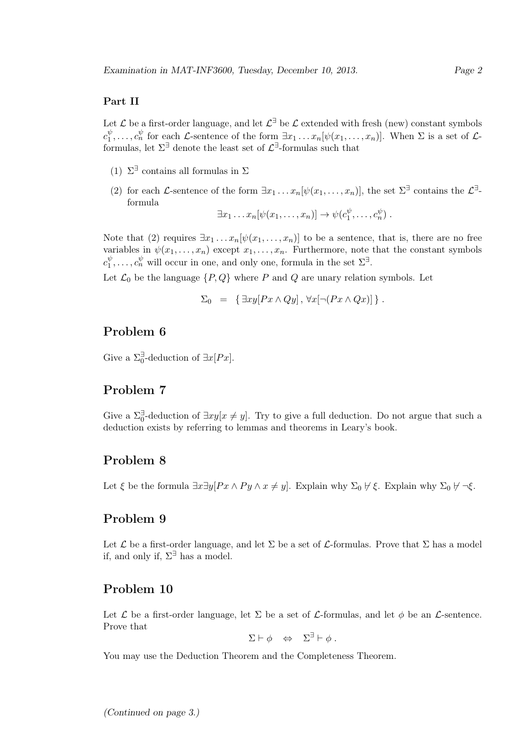#### Part II

Let  $\mathcal L$  be a first-order language, and let  $\mathcal L^{\exists}$  be  $\mathcal L$  extended with fresh (new) constant symbols  $c_1^{\psi}$  $\psi_1^{\psi}, \ldots, c_n^{\psi}$  for each *L*-sentence of the form  $\exists x_1 \ldots x_n[\psi(x_1,\ldots,x_n)]$ . When  $\Sigma$  is a set of *L*formulas, let  $\Sigma^{\exists}$  denote the least set of  $\mathcal{L}^{\exists}$ -formulas such that

- (1)  $\Sigma^{\exists}$  contains all formulas in  $\Sigma$
- (2) for each *L*-sentence of the form  $\exists x_1 \ldots x_n[\psi(x_1,\ldots,x_n)],$  the set  $\Sigma^{\exists}$  contains the  $\mathcal{L}^{\exists}$ formula

$$
\exists x_1 \ldots x_n [\psi(x_1, \ldots, x_n)] \rightarrow \psi(c_1^{\psi}, \ldots, c_n^{\psi}).
$$

Note that (2) requires  $\exists x_1 \ldots x_n[\psi(x_1, \ldots, x_n)]$  to be a sentence, that is, there are no free variables in  $\psi(x_1,\ldots,x_n)$  except  $x_1,\ldots,x_n$ . Furthermore, note that the constant symbols  $c_1^{\psi}$  $y_1^{\psi}, \ldots, c_n^{\psi}$  will occur in one, and only one, formula in the set  $\Sigma^{\exists}$ .

Let  $\mathcal{L}_0$  be the language  $\{P, Q\}$  where P and Q are unary relation symbols. Let

$$
\Sigma_0 = \left\{ \exists xy [Px \wedge Qy], \forall x [\neg (Px \wedge Qx)] \right\}.
$$

#### Problem 6

Give a  $\Sigma_0^{\exists}$ -deduction of  $\exists x [Px]$ .

#### Problem 7

Give a  $\Sigma_0^{\exists}$ -deduction of  $\exists xy[x \neq y]$ . Try to give a full deduction. Do not argue that such a deduction exists by referring to lemmas and theorems in Leary's book.

#### Problem 8

Let  $\xi$  be the formula  $\exists x \exists y [Px \land Py \land x \neq y]$ . Explain why  $\Sigma_0 \not\vdash \xi$ . Explain why  $\Sigma_0 \not\vdash \neg \xi$ .

#### Problem 9

Let  $\mathcal L$  be a first-order language, and let  $\Sigma$  be a set of  $\mathcal L$ -formulas. Prove that  $\Sigma$  has a model if, and only if,  $\Sigma^{\exists}$  has a model.

#### Problem 10

Let  $\mathcal L$  be a first-order language, let  $\Sigma$  be a set of  $\mathcal L$ -formulas, and let  $\phi$  be an  $\mathcal L$ -sentence. Prove that

 $\Sigma \vdash \phi \Leftrightarrow \Sigma^{\exists} \vdash \phi.$ 

You may use the Deduction Theorem and the Completeness Theorem.

(Continued on page 3.)